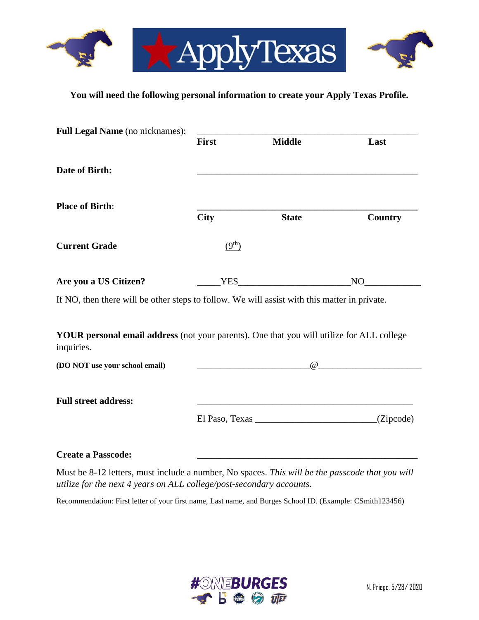

## **You will need the following personal information to create your Apply Texas Profile.**

| Full Legal Name (no nicknames):                                                                         |                    |                                                            |                                                                                                                                                                                                                                                                                                                                    |
|---------------------------------------------------------------------------------------------------------|--------------------|------------------------------------------------------------|------------------------------------------------------------------------------------------------------------------------------------------------------------------------------------------------------------------------------------------------------------------------------------------------------------------------------------|
|                                                                                                         | <b>First</b>       | <b>Middle</b>                                              | Last                                                                                                                                                                                                                                                                                                                               |
| Date of Birth:                                                                                          |                    |                                                            |                                                                                                                                                                                                                                                                                                                                    |
| <b>Place of Birth:</b>                                                                                  | <b>City</b>        | <b>State</b>                                               | <b>Country</b>                                                                                                                                                                                                                                                                                                                     |
| <b>Current Grade</b>                                                                                    | (9 <sup>th</sup> ) |                                                            |                                                                                                                                                                                                                                                                                                                                    |
| Are you a US Citizen?                                                                                   |                    | YES                                                        | NO <sub>2</sub>                                                                                                                                                                                                                                                                                                                    |
| If NO, then there will be other steps to follow. We will assist with this matter in private.            |                    |                                                            |                                                                                                                                                                                                                                                                                                                                    |
| YOUR personal email address (not your parents). One that you will utilize for ALL college<br>inquiries. |                    |                                                            |                                                                                                                                                                                                                                                                                                                                    |
| (DO NOT use your school email)                                                                          |                    |                                                            | $\overline{a}$ and $\overline{a}$ and $\overline{a}$ and $\overline{a}$ and $\overline{a}$ and $\overline{a}$ and $\overline{a}$ and $\overline{a}$ and $\overline{a}$ and $\overline{a}$ and $\overline{a}$ and $\overline{a}$ and $\overline{a}$ and $\overline{a}$ and $\overline{a}$ and $\overline{a}$ and $\overline{a}$ and |
| <b>Full street address:</b>                                                                             |                    | <u> 1980 - Johann Barbara, martxa alemaniar amerikan a</u> |                                                                                                                                                                                                                                                                                                                                    |
|                                                                                                         |                    |                                                            |                                                                                                                                                                                                                                                                                                                                    |
| <b>Create a Passcode:</b>                                                                               |                    |                                                            |                                                                                                                                                                                                                                                                                                                                    |

Must be 8-12 letters, must include a number, No spaces. *This will be the passcode that you will utilize for the next 4 years on ALL college/post-secondary accounts.*

Recommendation: First letter of your first name, Last name, and Burges School ID. (Example: CSmith123456)